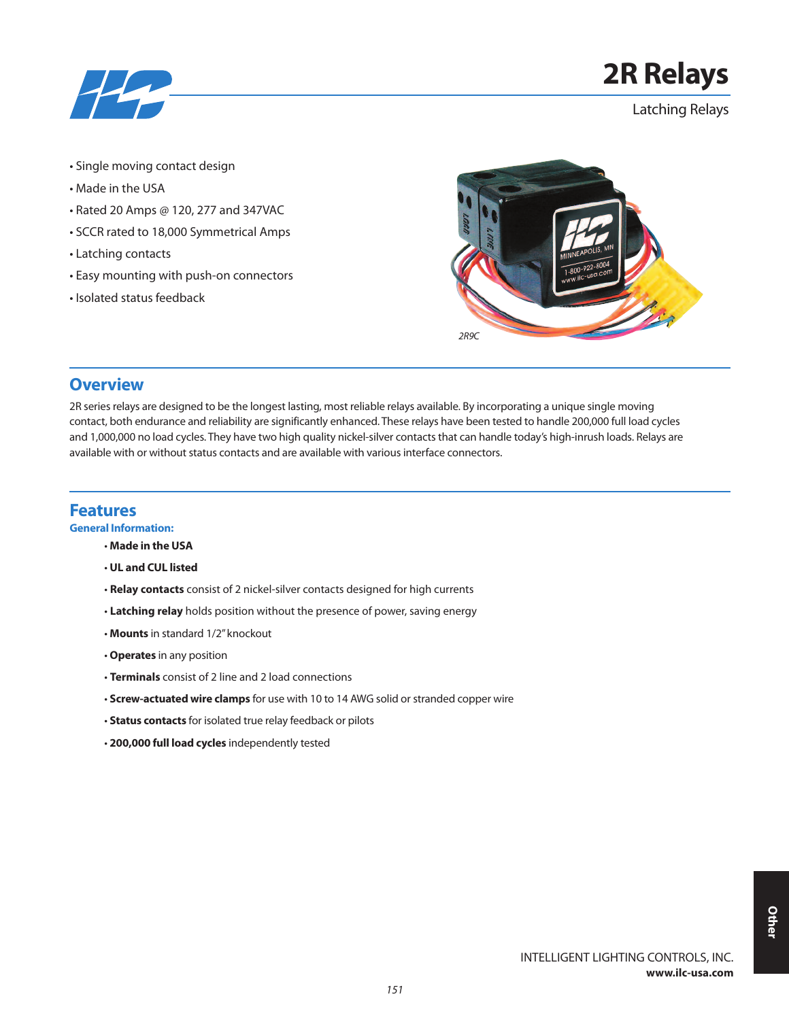

# **2R Relays**

Latching Relays

- Single moving contact design
- Made in the USA
- Rated 20 Amps @ 120, 277 and 347VAC
- SCCR rated to 18,000 Symmetrical Amps
- Latching contacts
- Easy mounting with push-on connectors
- Isolated status feedback



## **Overview**

2R series relays are designed to be the longest lasting, most reliable relays available. By incorporating a unique single moving contact, both endurance and reliability are significantly enhanced. These relays have been tested to handle 200,000 full load cycles and 1,000,000 no load cycles. They have two high quality nickel-silver contacts that can handle today's high-inrush loads. Relays are available with or without status contacts and are available with various interface connectors.

### **Features**

**General Information:**

- **Made in the USA**
- **UL and CUL listed**
- **Relay contacts** consist of 2 nickel-silver contacts designed for high currents
- **Latching relay** holds position without the presence of power, saving energy
- **Mounts** in standard 1/2"knockout
- **Operates** in any position
- **Terminals** consist of 2 line and 2 load connections
- Screw-actuated wire clamps for use with 10 to 14 AWG solid or stranded copper wire
- **Status contacts** for isolated true relay feedback or pilots
- **200,000 full load cycles** independently tested